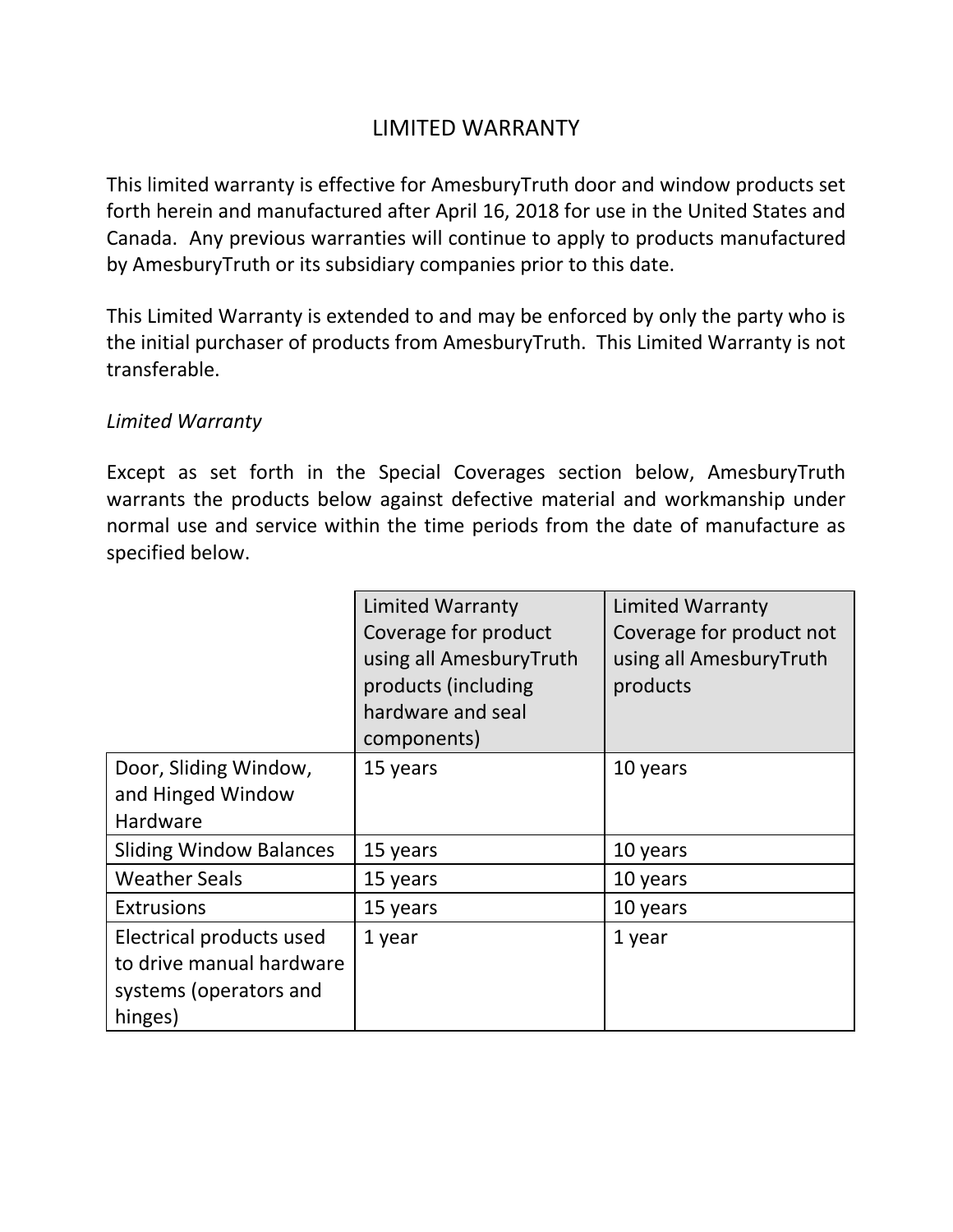# LIMITED WARRANTY

This limited warranty is effective for AmesburyTruth door and window products set forth herein and manufactured after April 16, 2018 for use in the United States and Canada. Any previous warranties will continue to apply to products manufactured by AmesburyTruth or its subsidiary companies prior to this date.

This Limited Warranty is extended to and may be enforced by only the party who is the initial purchaser of products from AmesburyTruth. This Limited Warranty is not transferable.

### *Limited Warranty*

Except as set forth in the Special Coverages section below, AmesburyTruth warrants the products below against defective material and workmanship under normal use and service within the time periods from the date of manufacture as specified below.

|                                                                                           | <b>Limited Warranty</b><br>Coverage for product<br>using all AmesburyTruth<br>products (including | <b>Limited Warranty</b><br>Coverage for product not<br>using all AmesburyTruth<br>products |
|-------------------------------------------------------------------------------------------|---------------------------------------------------------------------------------------------------|--------------------------------------------------------------------------------------------|
|                                                                                           | hardware and seal<br>components)                                                                  |                                                                                            |
| Door, Sliding Window,<br>and Hinged Window<br>Hardware                                    | 15 years                                                                                          | 10 years                                                                                   |
| <b>Sliding Window Balances</b>                                                            | 15 years                                                                                          | 10 years                                                                                   |
| <b>Weather Seals</b>                                                                      | 15 years                                                                                          | 10 years                                                                                   |
| <b>Extrusions</b>                                                                         | 15 years                                                                                          | 10 years                                                                                   |
| Electrical products used<br>to drive manual hardware<br>systems (operators and<br>hinges) | 1 year                                                                                            | 1 year                                                                                     |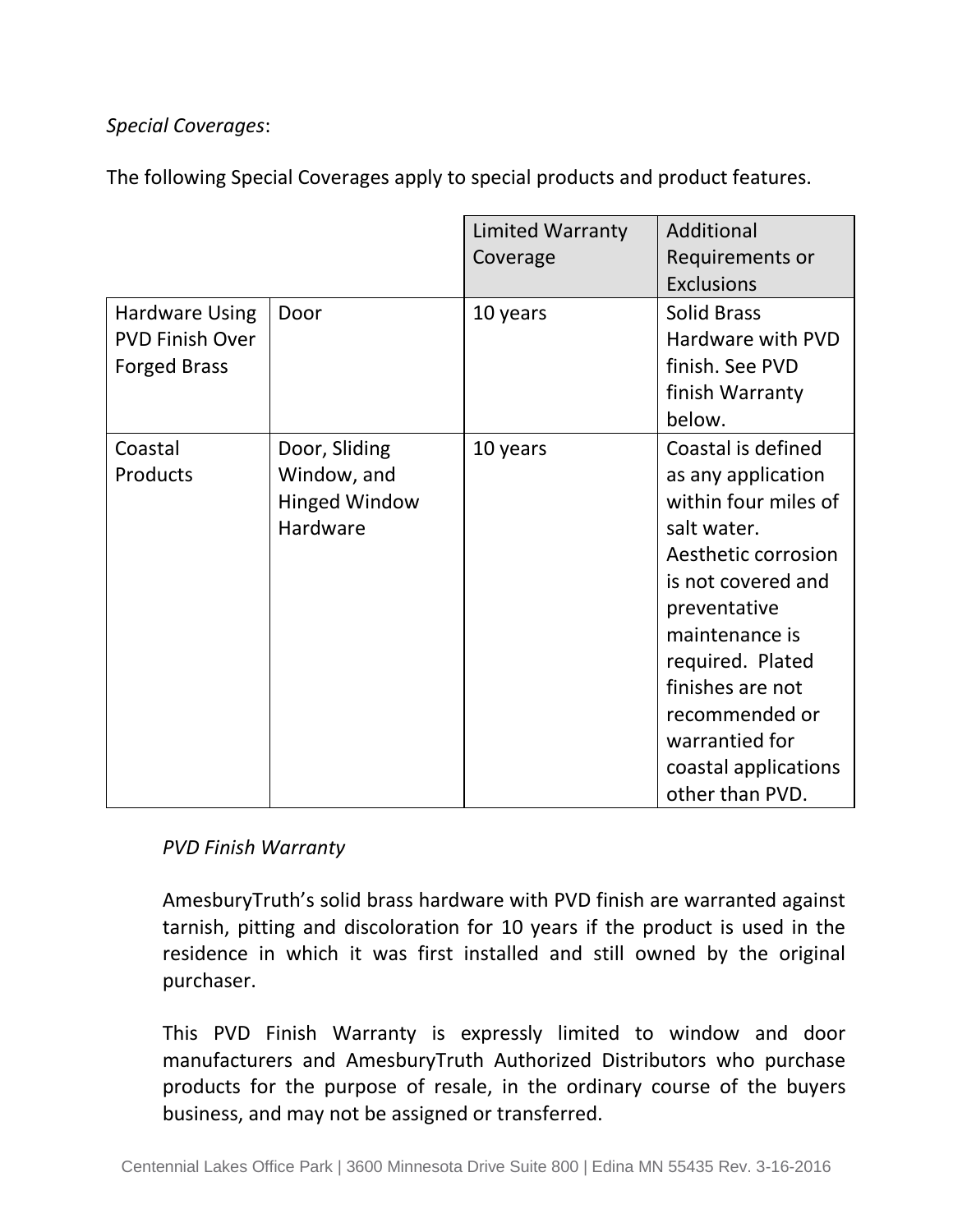## *Special Coverages*:

The following Special Coverages apply to special products and product features.

|                                                                        |                                                                  | <b>Limited Warranty</b><br>Coverage | Additional<br>Requirements or<br><b>Exclusions</b>                                                                                                                                                                                                                                    |
|------------------------------------------------------------------------|------------------------------------------------------------------|-------------------------------------|---------------------------------------------------------------------------------------------------------------------------------------------------------------------------------------------------------------------------------------------------------------------------------------|
| <b>Hardware Using</b><br><b>PVD Finish Over</b><br><b>Forged Brass</b> | Door                                                             | 10 years                            | <b>Solid Brass</b><br>Hardware with PVD<br>finish. See PVD<br>finish Warranty<br>below.                                                                                                                                                                                               |
| Coastal<br>Products                                                    | Door, Sliding<br>Window, and<br><b>Hinged Window</b><br>Hardware | 10 years                            | Coastal is defined<br>as any application<br>within four miles of<br>salt water.<br>Aesthetic corrosion<br>is not covered and<br>preventative<br>maintenance is<br>required. Plated<br>finishes are not<br>recommended or<br>warrantied for<br>coastal applications<br>other than PVD. |

*PVD Finish Warranty* 

AmesburyTruth's solid brass hardware with PVD finish are warranted against tarnish, pitting and discoloration for 10 years if the product is used in the residence in which it was first installed and still owned by the original purchaser.

This PVD Finish Warranty is expressly limited to window and door manufacturers and AmesburyTruth Authorized Distributors who purchase products for the purpose of resale, in the ordinary course of the buyers business, and may not be assigned or transferred.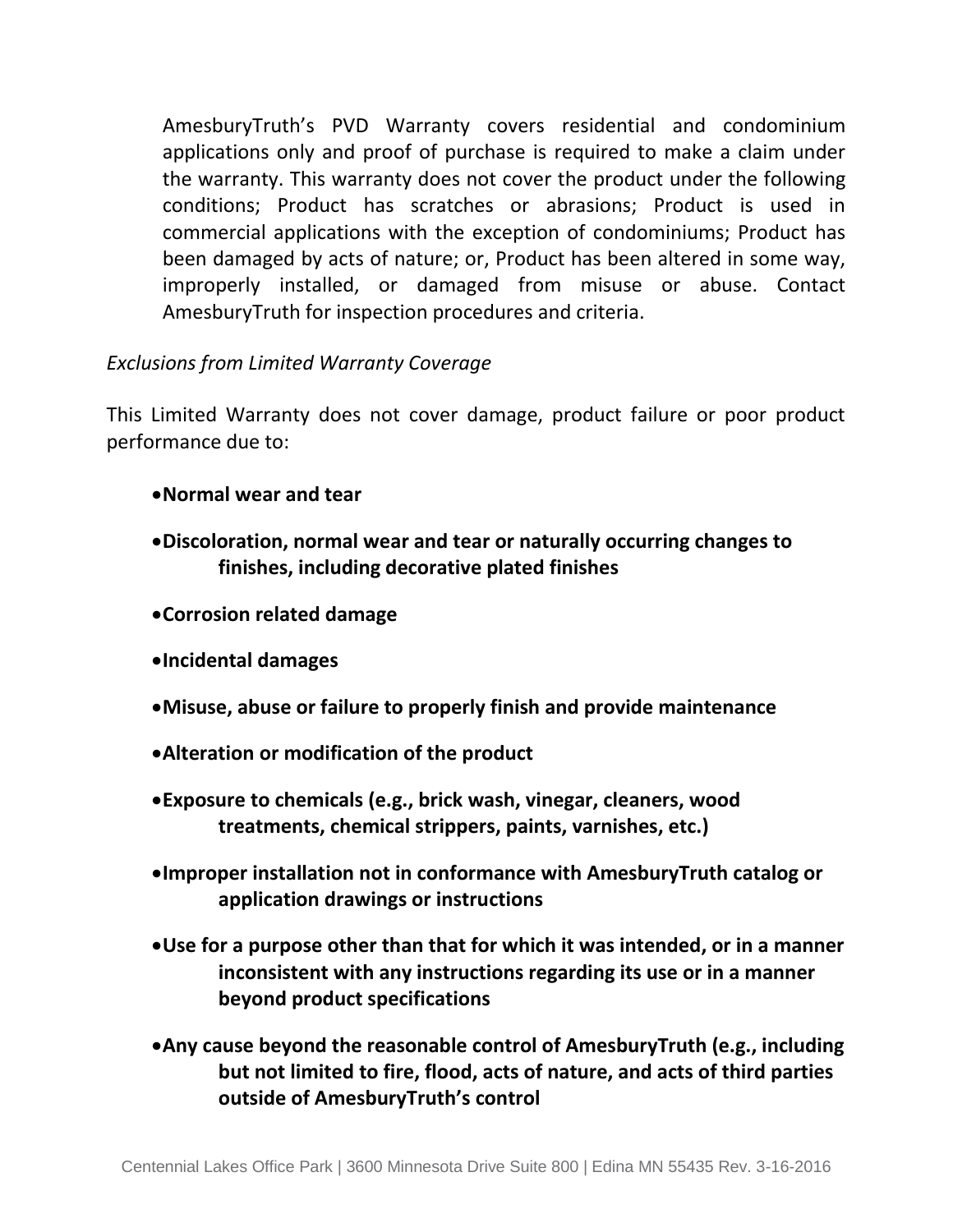AmesburyTruth's PVD Warranty covers residential and condominium applications only and proof of purchase is required to make a claim under the warranty. This warranty does not cover the product under the following conditions; Product has scratches or abrasions; Product is used in commercial applications with the exception of condominiums; Product has been damaged by acts of nature; or, Product has been altered in some way, improperly installed, or damaged from misuse or abuse. Contact AmesburyTruth for inspection procedures and criteria.

### *Exclusions from Limited Warranty Coverage*

This Limited Warranty does not cover damage, product failure or poor product performance due to:

- •**Normal wear and tear**
- •**Discoloration, normal wear and tear or naturally occurring changes to finishes, including decorative plated finishes**
- •**Corrosion related damage**
- •**Incidental damages**
- •**Misuse, abuse or failure to properly finish and provide maintenance**
- •**Alteration or modification of the product**
- •**Exposure to chemicals (e.g., brick wash, vinegar, cleaners, wood treatments, chemical strippers, paints, varnishes, etc.)**
- •**Improper installation not in conformance with AmesburyTruth catalog or application drawings or instructions**
- •**Use for a purpose other than that for which it was intended, or in a manner inconsistent with any instructions regarding its use or in a manner beyond product specifications**
- •**Any cause beyond the reasonable control of AmesburyTruth (e.g., including but not limited to fire, flood, acts of nature, and acts of third parties outside of AmesburyTruth's control**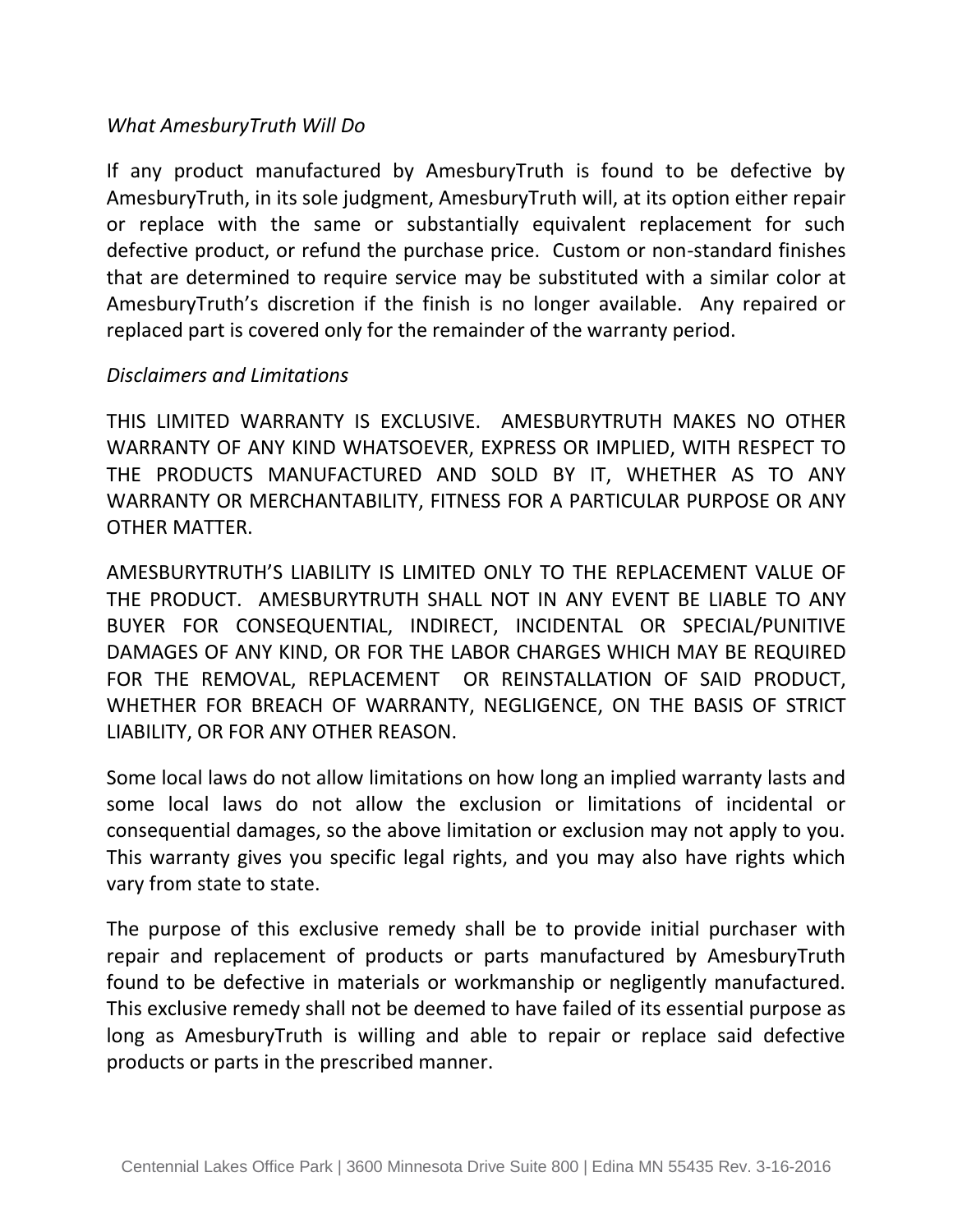### *What AmesburyTruth Will Do*

If any product manufactured by AmesburyTruth is found to be defective by AmesburyTruth, in its sole judgment, AmesburyTruth will, at its option either repair or replace with the same or substantially equivalent replacement for such defective product, or refund the purchase price. Custom or non-standard finishes that are determined to require service may be substituted with a similar color at AmesburyTruth's discretion if the finish is no longer available. Any repaired or replaced part is covered only for the remainder of the warranty period.

### *Disclaimers and Limitations*

THIS LIMITED WARRANTY IS EXCLUSIVE. AMESBURYTRUTH MAKES NO OTHER WARRANTY OF ANY KIND WHATSOEVER, EXPRESS OR IMPLIED, WITH RESPECT TO THE PRODUCTS MANUFACTURED AND SOLD BY IT, WHETHER AS TO ANY WARRANTY OR MERCHANTABILITY, FITNESS FOR A PARTICULAR PURPOSE OR ANY OTHER MATTER.

AMESBURYTRUTH'S LIABILITY IS LIMITED ONLY TO THE REPLACEMENT VALUE OF THE PRODUCT. AMESBURYTRUTH SHALL NOT IN ANY EVENT BE LIABLE TO ANY BUYER FOR CONSEQUENTIAL, INDIRECT, INCIDENTAL OR SPECIAL/PUNITIVE DAMAGES OF ANY KIND, OR FOR THE LABOR CHARGES WHICH MAY BE REQUIRED FOR THE REMOVAL, REPLACEMENT OR REINSTALLATION OF SAID PRODUCT, WHETHER FOR BREACH OF WARRANTY, NEGLIGENCE, ON THE BASIS OF STRICT LIABILITY, OR FOR ANY OTHER REASON.

Some local laws do not allow limitations on how long an implied warranty lasts and some local laws do not allow the exclusion or limitations of incidental or consequential damages, so the above limitation or exclusion may not apply to you. This warranty gives you specific legal rights, and you may also have rights which vary from state to state.

The purpose of this exclusive remedy shall be to provide initial purchaser with repair and replacement of products or parts manufactured by AmesburyTruth found to be defective in materials or workmanship or negligently manufactured. This exclusive remedy shall not be deemed to have failed of its essential purpose as long as AmesburyTruth is willing and able to repair or replace said defective products or parts in the prescribed manner.